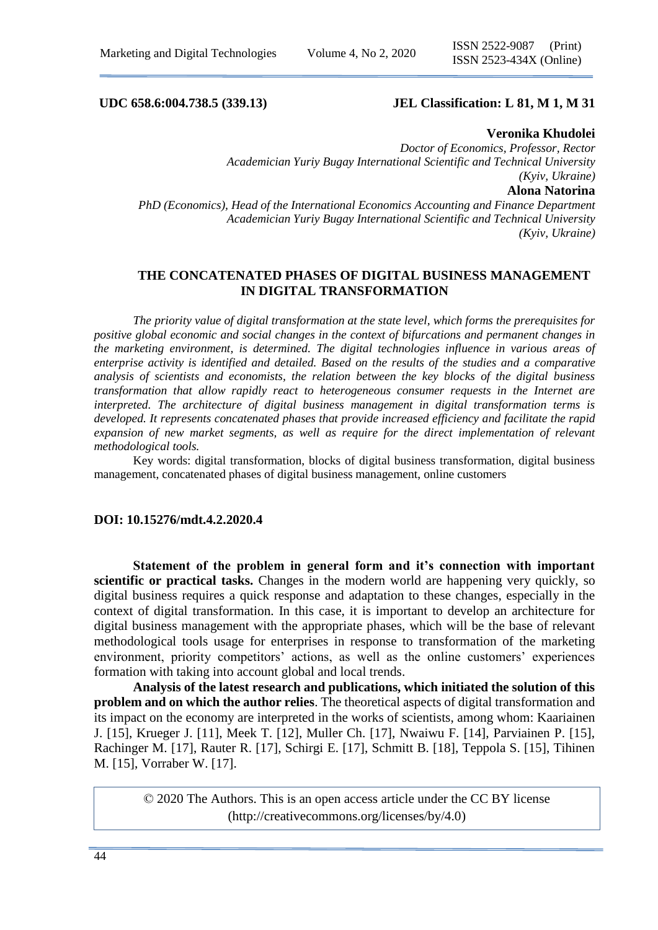# **UDC 658.6:004.738.5 (339.13) JEL Classification: L 81, M 1, M 31**

### **Veronika Khudolei**

*Doctor of Economics, Professor, Rector Academician Yuriy Bugay International Scientific and Technical University (Kyiv, Ukraine)* **Alona Natorina** *PhD (Economics), Head of the International Economics Accounting and Finance Department Academician Yuriy Bugay International Scientific and Technical University (Kyiv, Ukraine)*

# **THE CONCATENATED PHASES OF DIGITAL BUSINESS MANAGEMENT IN DIGITAL TRANSFORMATION**

*The priority value of digital transformation at the state level, which forms the prerequisites for positive global economic and social changes in the context of bifurcations and permanent changes in the marketing environment, is determined. The digital technologies influence in various areas of enterprise activity is identified and detailed. Based on the results of the studies and a comparative analysis of scientists and economists, the relation between the key blocks of the digital business transformation that allow rapidly react to heterogeneous consumer requests in the Internet are interpreted. The architecture of digital business management in digital transformation terms is developed. It represents concatenated phases that provide increased efficiency and facilitate the rapid expansion of new market segments, as well as require for the direct implementation of relevant methodological tools.*

Key words: digital transformation, blocks of digital business transformation, digital business management, concatenated phases of digital business management, online customers

## **DOI: 10.15276/mdt.4.2.2020.4**

**Statement of the problem in general form and it's connection with important scientific or practical tasks.** Changes in the modern world are happening very quickly, so digital business requires a quick response and adaptation to these changes, especially in the context of digital transformation. In this case, it is important to develop an architecture for digital business management with the appropriate phases, which will be the base of relevant methodological tools usage for enterprises in response to transformation of the marketing environment, priority competitors' actions, as well as the online customers' experiences formation with taking into account global and local trends.

**Analysis of the latest research and publications, which initiated the solution of this problem and on which the author relies**. The theoretical aspects of digital transformation and its impact on the economy are interpreted in the works of scientists, among whom: Kaariainen J. [15], Krueger J. [11], Meek T. [12], Muller Ch. [17], Nwaiwu F. [14], Parviainen P. [15], Rachinger M. [17], Rauter R. [17], Schirgi E. [17], Schmitt B. [18], Teppola S. [15], Tihinen M. [15], Vorraber W. [17].

© 2020 The Authors. This is an open access article under the CC BY license [\(http://creativecommons.org/licenses/by/4.0\)](http://creativecommons.org/licenses/by/4.0/)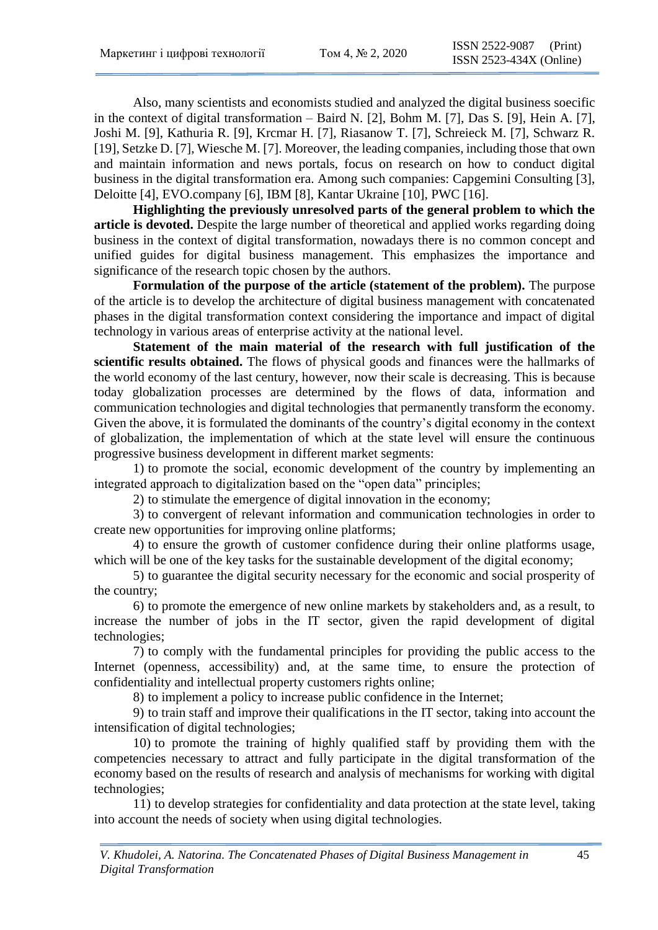Also, many scientists and economists studied and analyzed the digital business soecific in the context of digital transformation – Baird N. [2], Bohm M. [7], Das S. [9], Hein A. [7], Joshi M. [9], Kathuria R. [9], Krcmar H. [7], Riasanow T. [7], Schreieck M. [7], Schwarz R. [19], Setzke D. [7], Wiesche M. [7]. Moreover, the leading companies, including those that own and maintain information and news portals, focus on research on how to conduct digital business in the digital transformation era. Among such companies: Capgemini Consulting [3], Deloitte [4], EVO.company [6], IBM [8], Kantar Ukraine [10], PWC [16].

**Highlighting the previously unresolved parts of the general problem to which the article is devoted.** Despite the large number of theoretical and applied works regarding doing business in the context of digital transformation, nowadays there is no common concept and unified guides for digital business management. This emphasizes the importance and significance of the research topic chosen by the authors.

**Formulation of the purpose of the article (statement of the problem).** The purpose of the article is to develop the architecture of digital business management with concatenated phases in the digital transformation context considering the importance and impact of digital technology in various areas of enterprise activity at the national level.

**Statement of the main material of the research with full justification of the scientific results obtained.** The flows of physical goods and finances were the hallmarks of the world economy of the last century, however, now their scale is decreasing. This is because today globalization processes are determined by the flows of data, information and communication technologies and digital technologies that permanently transform the economy. Given the above, it is formulated the dominants of the country's digital economy in the context of globalization, the implementation of which at the state level will ensure the continuous progressive business development in different market segments:

1) to promote the social, economic development of the country by implementing an integrated approach to digitalization based on the "open data" principles;

2) to stimulate the emergence of digital innovation in the economy;

3) to convergent of relevant information and communication technologies in order to create new opportunities for improving online platforms;

4) to ensure the growth of customer confidence during their online platforms usage, which will be one of the key tasks for the sustainable development of the digital economy;

5) to guarantee the digital security necessary for the economic and social prosperity of the country;

6) to promote the emergence of new online markets by stakeholders and, as a result, to increase the number of jobs in the IT sector, given the rapid development of digital technologies;

7) to comply with the fundamental principles for providing the public access to the Internet (openness, accessibility) and, at the same time, to ensure the protection of confidentiality and intellectual property customers rights online;

8) to implement a policy to increase public confidence in the Internet;

9) to train staff and improve their qualifications in the IT sector, taking into account the intensification of digital technologies;

10) to promote the training of highly qualified staff by providing them with the competencies necessary to attract and fully participate in the digital transformation of the economy based on the results of research and analysis of mechanisms for working with digital technologies;

11) to develop strategies for confidentiality and data protection at the state level, taking into account the needs of society when using digital technologies.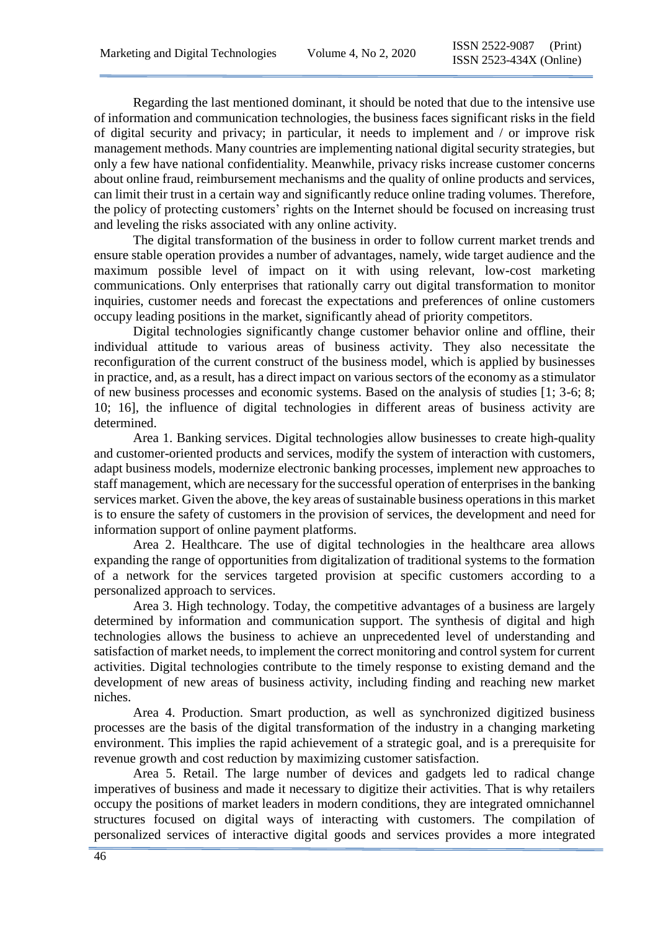Regarding the last mentioned dominant, it should be noted that due to the intensive use of information and communication technologies, the business faces significant risks in the field of digital security and privacy; in particular, it needs to implement and / or improve risk management methods. Many countries are implementing national digital security strategies, but only a few have national confidentiality. Meanwhile, privacy risks increase customer concerns about online fraud, reimbursement mechanisms and the quality of online products and services, can limit their trust in a certain way and significantly reduce online trading volumes. Therefore, the policy of protecting customers' rights on the Internet should be focused on increasing trust and leveling the risks associated with any online activity.

The digital transformation of the business in order to follow current market trends and ensure stable operation provides a number of advantages, namely, wide target audience and the maximum possible level of impact on it with using relevant, low-cost marketing communications. Only enterprises that rationally carry out digital transformation to monitor inquiries, customer needs and forecast the expectations and preferences of online customers occupy leading positions in the market, significantly ahead of priority competitors.

Digital technologies significantly change customer behavior online and offline, their individual attitude to various areas of business activity. They also necessitate the reconfiguration of the current construct of the business model, which is applied by businesses in practice, and, as a result, has a direct impact on various sectors of the economy as a stimulator of new business processes and economic systems. Based on the analysis of studies [1; 3-6; 8; 10; 16], the influence of digital technologies in different areas of business activity are determined.

Area 1. Banking services. Digital technologies allow businesses to create high-quality and customer-oriented products and services, modify the system of interaction with customers, adapt business models, modernize electronic banking processes, implement new approaches to staff management, which are necessary for the successful operation of enterprises in the banking services market. Given the above, the key areas of sustainable business operations in this market is to ensure the safety of customers in the provision of services, the development and need for information support of online payment platforms.

Area 2. Healthcare. The use of digital technologies in the healthcare area allows expanding the range of opportunities from digitalization of traditional systems to the formation of a network for the services targeted provision at specific customers according to a personalized approach to services.

Area 3. High technology. Today, the competitive advantages of a business are largely determined by information and communication support. The synthesis of digital and high technologies allows the business to achieve an unprecedented level of understanding and satisfaction of market needs, to implement the correct monitoring and control system for current activities. Digital technologies contribute to the timely response to existing demand and the development of new areas of business activity, including finding and reaching new market niches.

Area 4. Production. Smart production, as well as synchronized digitized business processes are the basis of the digital transformation of the industry in a changing marketing environment. This implies the rapid achievement of a strategic goal, and is a prerequisite for revenue growth and cost reduction by maximizing customer satisfaction.

Area 5. Retail. The large number of devices and gadgets led to radical change imperatives of business and made it necessary to digitize their activities. That is why retailers occupy the positions of market leaders in modern conditions, they are integrated omnichannel structures focused on digital ways of interacting with customers. The compilation of personalized services of interactive digital goods and services provides a more integrated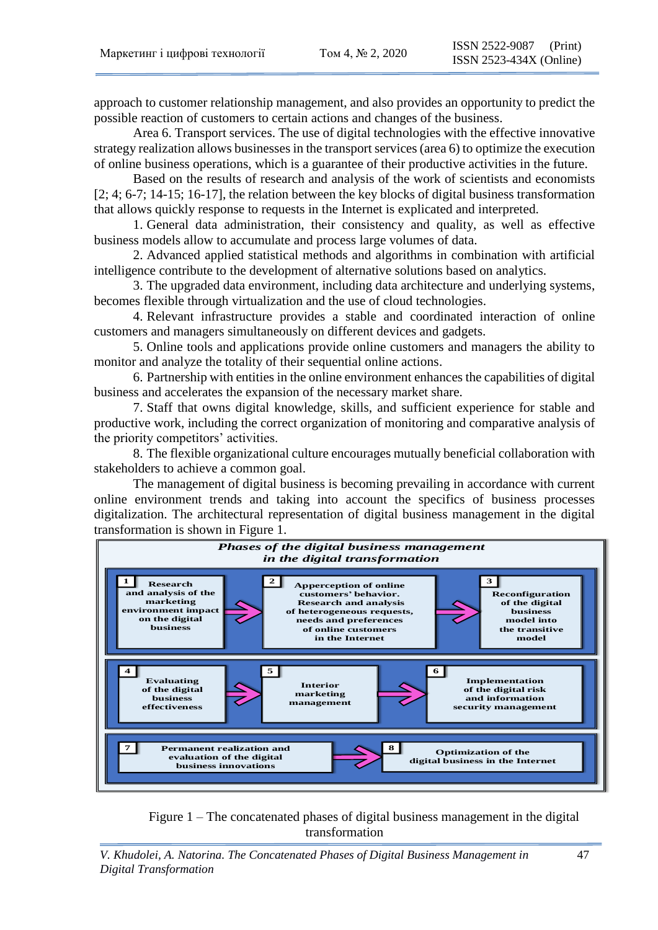approach to customer relationship management, and also provides an opportunity to predict the possible reaction of customers to certain actions and changes of the business.

Area 6. Transport services. The use of digital technologies with the effective innovative strategy realization allows businesses in the transport services (area 6) to optimize the execution of online business operations, which is a guarantee of their productive activities in the future.

Based on the results of research and analysis of the work of scientists and economists [2; 4; 6-7; 14-15; 16-17], the relation between the key blocks of digital business transformation that allows quickly response to requests in the Internet is explicated and interpreted.

1. General data administration, their consistency and quality, as well as effective business models allow to accumulate and process large volumes of data.

2. Advanced applied statistical methods and algorithms in combination with artificial intelligence contribute to the development of alternative solutions based on analytics.

3. The upgraded data environment, including data architecture and underlying systems, becomes flexible through virtualization and the use of cloud technologies.

4. Relevant infrastructure provides a stable and coordinated interaction of online customers and managers simultaneously on different devices and gadgets.

5. Online tools and applications provide online customers and managers the ability to monitor and analyze the totality of their sequential online actions.

6. Partnership with entities in the online environment enhances the capabilities of digital business and accelerates the expansion of the necessary market share.

7. Staff that owns digital knowledge, skills, and sufficient experience for stable and productive work, including the correct organization of monitoring and comparative analysis of the priority competitors' activities.

8. The flexible organizational culture encourages mutually beneficial collaboration with stakeholders to achieve a common goal.

The management of digital business is becoming prevailing in accordance with current online environment trends and taking into account the specifics of business processes digitalization. The architectural representation of digital business management in the digital transformation is shown in Figure 1.



Figure 1 – The concatenated phases of digital business management in the digital transformation

*V. Khudolei, A. Natorina. The Concatenated Phases of Digital Business Management in Digital Transformation*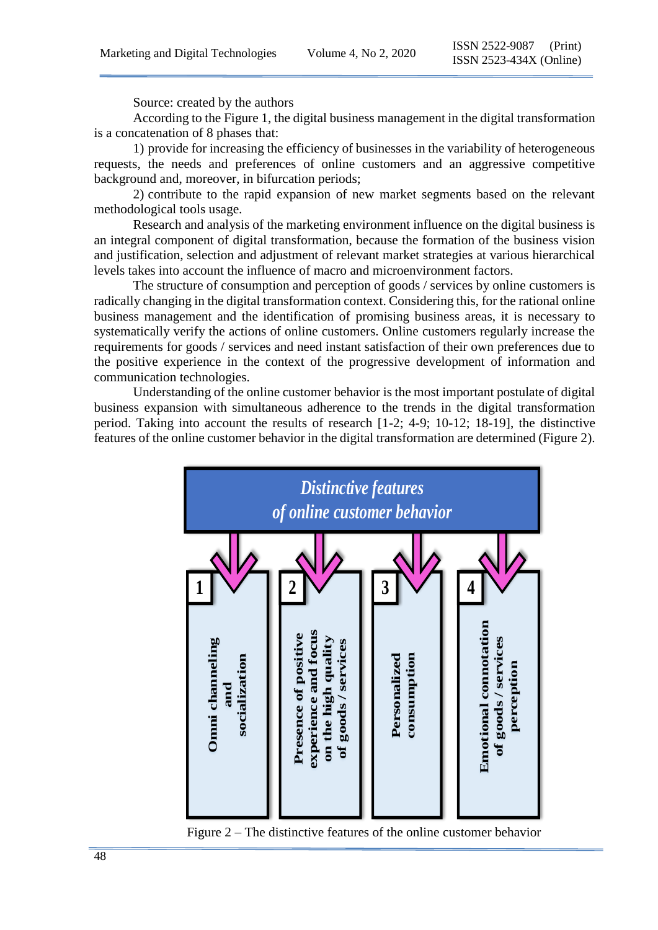Source: created by the authors

According to the Figure 1, the digital business management in the digital transformation is a concatenation of 8 phases that:

1) provide for increasing the efficiency of businesses in the variability of heterogeneous requests, the needs and preferences of online customers and an aggressive competitive background and, moreover, in bifurcation periods;

2) contribute to the rapid expansion of new market segments based on the relevant methodological tools usage.

Research and analysis of the marketing environment influence on the digital business is an integral component of digital transformation, because the formation of the business vision and justification, selection and adjustment of relevant market strategies at various hierarchical levels takes into account the influence of macro and microenvironment factors.

The structure of consumption and perception of goods / services by online customers is radically changing in the digital transformation context. Considering this, for the rational online business management and the identification of promising business areas, it is necessary to systematically verify the actions of online customers. Online customers regularly increase the requirements for goods / services and need instant satisfaction of their own preferences due to the positive experience in the context of the progressive development of information and communication technologies.

Understanding of the online customer behavior is the most important postulate of digital business expansion with simultaneous adherence to the trends in the digital transformation period. Taking into account the results of research [1-2; 4-9; 10-12; 18-19], the distinctive features of the online customer behavior in the digital transformation are determined (Figure 2).



Figure 2 – The distinctive features of the online customer behavior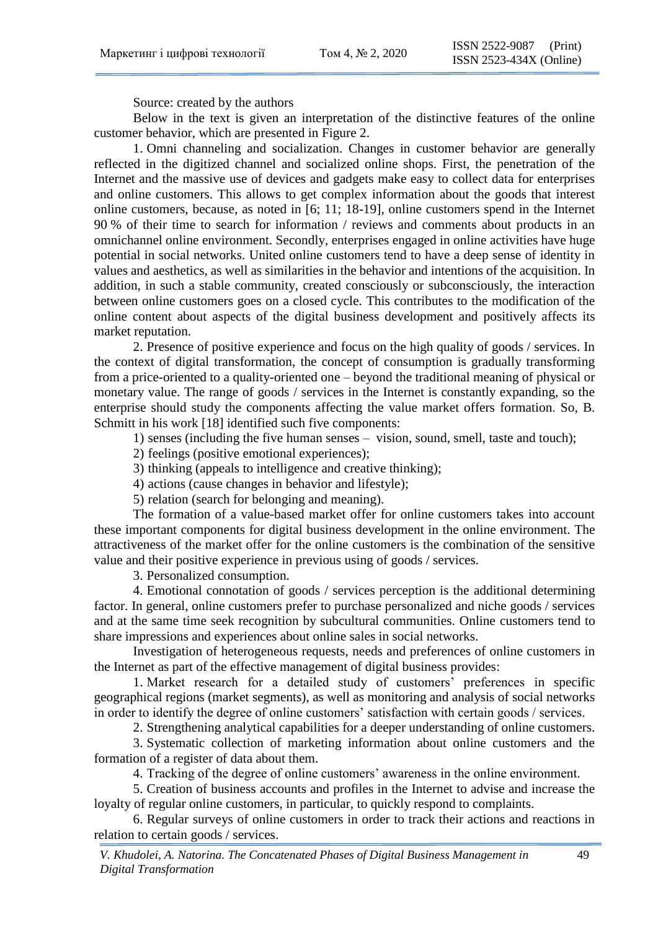Source: created by the authors

Below in the text is given an interpretation of the distinctive features of the online customer behavior, which are presented in Figure 2.

1. Omni channeling and socialization. Changes in customer behavior are generally reflected in the digitized channel and socialized online shops. First, the penetration of the Internet and the massive use of devices and gadgets make easy to collect data for enterprises and online customers. This allows to get complex information about the goods that interest online customers, because, as noted in [6; 11; 18-19], online customers spend in the Internet 90 % of their time to search for information / reviews and comments about products in an omnichannel online environment. Secondly, enterprises engaged in online activities have huge potential in social networks. United online customers tend to have a deep sense of identity in values and aesthetics, as well as similarities in the behavior and intentions of the acquisition. In addition, in such a stable community, created consciously or subconsciously, the interaction between online customers goes on a closed cycle. This contributes to the modification of the online content about aspects of the digital business development and positively affects its market reputation.

2. Presence of positive experience and focus on the high quality of goods / services. In the context of digital transformation, the concept of consumption is gradually transforming from a price-oriented to a quality-oriented one – beyond the traditional meaning of physical or monetary value. The range of goods / services in the Internet is constantly expanding, so the enterprise should study the components affecting the value market offers formation. So, B. Schmitt in his work [18] identified such five components:

1) senses (including the five human senses – vision, sound, smell, taste and touch);

2) feelings (positive emotional experiences);

3) thinking (appeals to intelligence and creative thinking);

4) actions (cause changes in behavior and lifestyle);

5) relation (search for belonging and meaning).

The formation of a value-based market offer for online customers takes into account these important components for digital business development in the online environment. The attractiveness of the market offer for the online customers is the combination of the sensitive value and their positive experience in previous using of goods / services.

3. Personalized consumption.

4. Emotional connotation of goods / services perception is the additional determining factor. In general, online customers prefer to purchase personalized and niche goods / services and at the same time seek recognition by subcultural communities. Online customers tend to share impressions and experiences about online sales in social networks.

Investigation of heterogeneous requests, needs and preferences of online customers in the Internet as part of the effective management of digital business provides:

1. Market research for a detailed study of customers' preferences in specific geographical regions (market segments), as well as monitoring and analysis of social networks in order to identify the degree of online customers' satisfaction with certain goods / services.

2. Strengthening analytical capabilities for a deeper understanding of online customers.

3. Systematic collection of marketing information about online customers and the formation of a register of data about them.

4. Tracking of the degree of online customers' awareness in the online environment.

5. Creation of business accounts and profiles in the Internet to advise and increase the loyalty of regular online customers, in particular, to quickly respond to complaints.

6. Regular surveys of online customers in order to track their actions and reactions in relation to certain goods / services.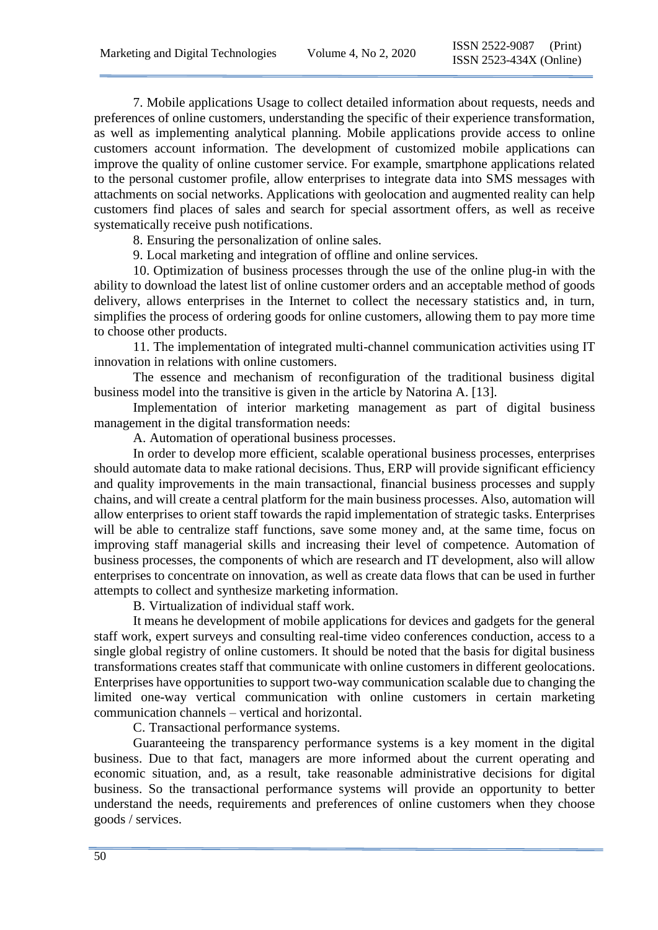7. Mobile applications Usage to collect detailed information about requests, needs and preferences of online customers, understanding the specific of their experience transformation, as well as implementing analytical planning. Mobile applications provide access to online customers account information. The development of customized mobile applications can improve the quality of online customer service. For example, smartphone applications related to the personal customer profile, allow enterprises to integrate data into SMS messages with attachments on social networks. Applications with geolocation and augmented reality can help customers find places of sales and search for special assortment offers, as well as receive systematically receive push notifications.

8. Ensuring the personalization of online sales.

9. Local marketing and integration of offline and online services.

10. Optimization of business processes through the use of the online plug-in with the ability to download the latest list of online customer orders and an acceptable method of goods delivery, allows enterprises in the Internet to collect the necessary statistics and, in turn, simplifies the process of ordering goods for online customers, allowing them to pay more time to choose other products.

11. The implementation of integrated multi-channel communication activities using IT innovation in relations with online customers.

The essence and mechanism of reconfiguration of the traditional business digital business model into the transitive is given in the article by Natorina A. [13].

Implementation of interior marketing management as part of digital business management in the digital transformation needs:

A. Automation of operational business processes.

In order to develop more efficient, scalable operational business processes, enterprises should automate data to make rational decisions. Thus, ERP will provide significant efficiency and quality improvements in the main transactional, financial business processes and supply chains, and will create a central platform for the main business processes. Also, automation will allow enterprises to orient staff towards the rapid implementation of strategic tasks. Enterprises will be able to centralize staff functions, save some money and, at the same time, focus on improving staff managerial skills and increasing their level of competence. Automation of business processes, the components of which are research and IT development, also will allow enterprises to concentrate on innovation, as well as create data flows that can be used in further attempts to collect and synthesize marketing information.

B. Virtualization of individual staff work.

It means he development of mobile applications for devices and gadgets for the general staff work, expert surveys and consulting real-time video conferences conduction, access to a single global registry of online customers. It should be noted that the basis for digital business transformations creates staff that communicate with online customers in different geolocations. Enterprises have opportunities to support two-way communication scalable due to changing the limited one-way vertical communication with online customers in certain marketing communication channels – vertical and horizontal.

C. Transactional performance systems.

Guaranteeing the transparency performance systems is a key moment in the digital business. Due to that fact, managers are more informed about the current operating and economic situation, and, as a result, take reasonable administrative decisions for digital business. So the transactional performance systems will provide an opportunity to better understand the needs, requirements and preferences of online customers when they choose goods / services.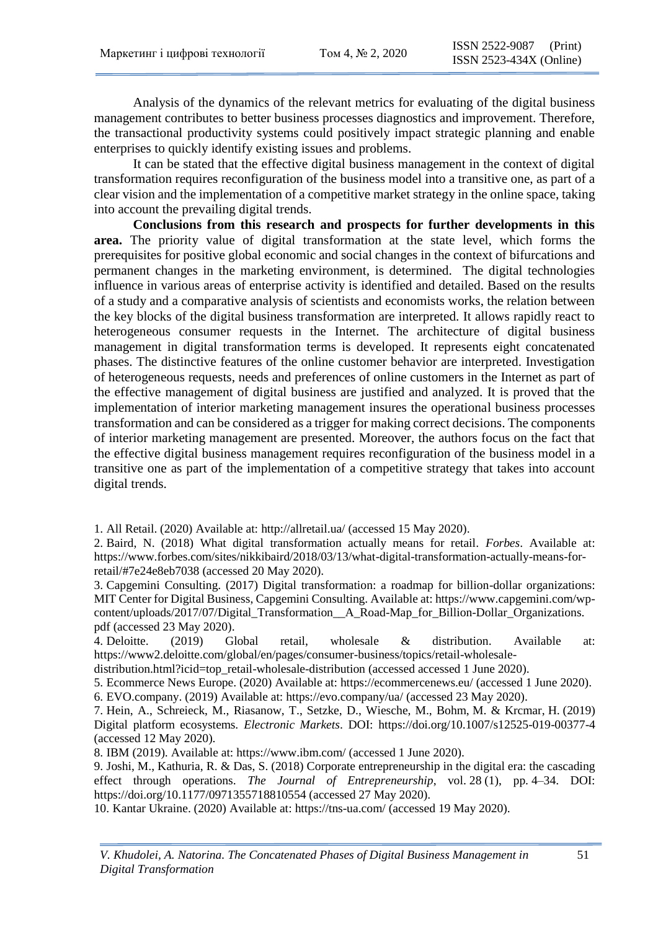Analysis of the dynamics of the relevant metrics for evaluating of the digital business management contributes to better business processes diagnostics and improvement. Therefore, the transactional productivity systems could positively impact strategic planning and enable enterprises to quickly identify existing issues and problems.

It can be stated that the effective digital business management in the context of digital transformation requires reconfiguration of the business model into a transitive one, as part of a clear vision and the implementation of a competitive market strategy in the online space, taking into account the prevailing digital trends.

**Conclusions from this research and prospects for further developments in this area.** The priority value of digital transformation at the state level, which forms the prerequisites for positive global economic and social changes in the context of bifurcations and permanent changes in the marketing environment, is determined. The digital technologies influence in various areas of enterprise activity is identified and detailed. Based on the results of a study and a comparative analysis of scientists and economists works, the relation between the key blocks of the digital business transformation are interpreted. It allows rapidly react to heterogeneous consumer requests in the Internet. The architecture of digital business management in digital transformation terms is developed. It represents eight concatenated phases. The distinctive features of the online customer behavior are interpreted. Investigation of heterogeneous requests, needs and preferences of online customers in the Internet as part of the effective management of digital business are justified and analyzed. It is proved that the implementation of interior marketing management insures the operational business processes transformation and can be considered as a trigger for making correct decisions. The components of interior marketing management are presented. Moreover, the authors focus on the fact that the effective digital business management requires reconfiguration of the business model in a transitive one as part of the implementation of a competitive strategy that takes into account digital trends.

1. All Retail. (2020) Available at:<http://allretail.ua/> (accessed 15 May 2020).

2. Baird, N. (2018) What digital transformation actually means for retail. *Forbes*. Available at: [https://www.forbes.com/sites/nikkibaird/2018/03/13/what-digital-transformation-actually-means-for](https://www.forbes.com/sites/nikkibaird/2018/03/13/what-digital-transformation-actually-means-for-retail/#7e24e8eb7038)[retail/#7e24e8eb7038](https://www.forbes.com/sites/nikkibaird/2018/03/13/what-digital-transformation-actually-means-for-retail/#7e24e8eb7038) (accessed 20 May 2020).

3. Capgemini Consulting. (2017) Digital transformation: a roadmap for billion-dollar organizations: MIT Center for Digital Business, Capgemini Consulting. Available at: [https://www.capgemini.com/wp](https://www.capgemini.com/wp-content/uploads/2017/07/Digital_Transformation__A_Road-Map_for_Billion-Dollar_Organizations.%20pdf)content/uploads/2017/07/Digital Transformation A Road-Map for Billion-Dollar Organizations. [pdf](https://www.capgemini.com/wp-content/uploads/2017/07/Digital_Transformation__A_Road-Map_for_Billion-Dollar_Organizations.%20pdf) (accessed 23 May 2020).

4. Deloitte. (2019) Global retail, wholesale & distribution. Available at: [https://www2.deloitte.com/global/en/pages/consumer-business/topics/retail-wholesale-](https://www2.deloitte.com/global/en/pages/consumer-business/topics/retail-wholesale-distribution.html?icid=top_retail-wholesale-distribution)

[distribution.html?icid=top\\_retail-wholesale-distribution](https://www2.deloitte.com/global/en/pages/consumer-business/topics/retail-wholesale-distribution.html?icid=top_retail-wholesale-distribution) (accessed accessed 1 June 2020).

5. Ecommerce News Europe. (2020) Available at:<https://ecommercenews.eu/> (accessed 1 June 2020).

6. EVO.company. (2019) Available at:<https://evo.company/ua/> (accessed 23 May 2020).

7. Hein, A., Schreieck, M., Riasanow, T., Setzke, D., Wiesche, M., Bohm, M. & Krcmar, H. (2019) Digital platform ecosystems. *Electronic Markets*. DOI:<https://doi.org/10.1007/s12525-019-00377-4> (accessed 12 May 2020).

8. IBM (2019). Available at:<https://www.ibm.com/> (accessed 1 June 2020).

9. Joshi, M., Kathuria, R. & Das, S. (2018) Corporate entrepreneurship in the digital era: the cascading effect through operations. *The Journal of Entrepreneurship*, vol. 28 (1), pp. 4–34. DOI: <https://doi.org/10.1177/0971355718810554> (accessed 27 May 2020).

10. Kantar Ukraine. (2020) Available at:<https://tns-ua.com/> (accessed 19 May 2020).